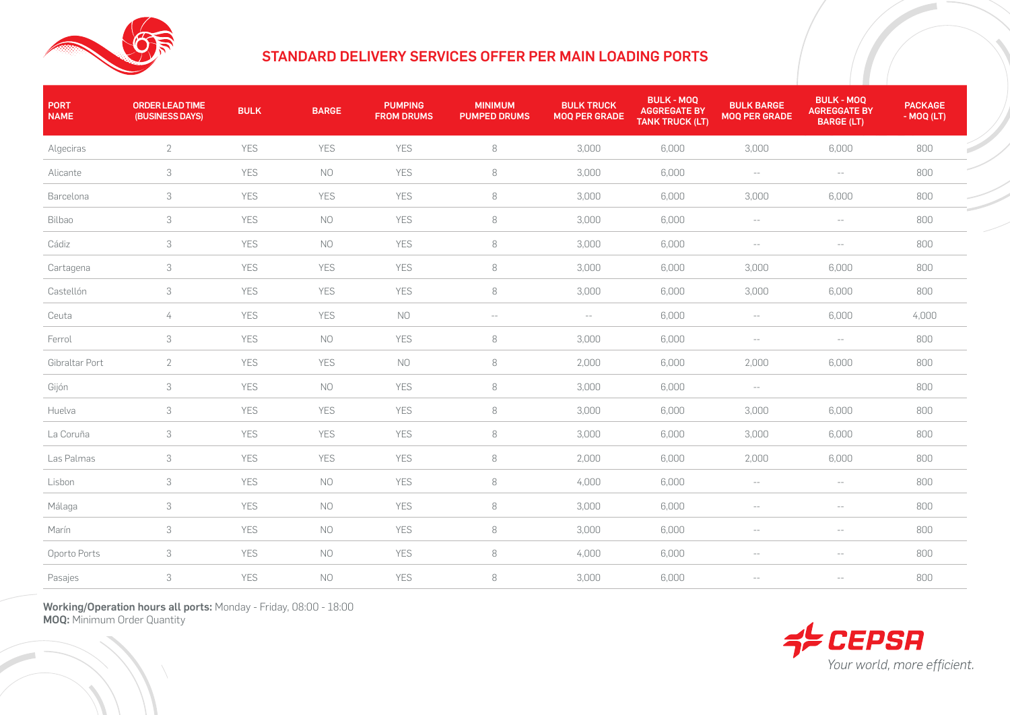

## STANDARD DELIVERY SERVICES OFFER PER MAIN LOADING PORTS

| <b>PORT</b><br><b>NAME</b> | <b>ORDER LEAD TIME</b><br>(BUSINESS DAYS) | <b>BULK</b> | <b>BARGE</b> | <b>PUMPING</b><br><b>FROM DRUMS</b> | <b>MINIMUM</b><br><b>PUMPED DRUMS</b> | <b>BULK TRUCK</b><br><b>MOQ PER GRADE</b> | <b>BULK - MOQ</b><br><b>AGGREGATE BY</b><br><b>TANK TRUCK (LT)</b> | <b>BULK BARGE</b><br><b>MOQ PER GRADE</b> | <b>BULK - MOQ</b><br><b>AGREGGATE BY</b><br><b>BARGE (LT)</b> | <b>PACKAGE</b><br>- MOQ (LT) |
|----------------------------|-------------------------------------------|-------------|--------------|-------------------------------------|---------------------------------------|-------------------------------------------|--------------------------------------------------------------------|-------------------------------------------|---------------------------------------------------------------|------------------------------|
| Algeciras                  | $\overline{2}$                            | YES         | YES          | <b>YES</b>                          | 8                                     | 3,000                                     | 6,000                                                              | 3,000                                     | 6,000                                                         | 800                          |
| Alicante                   | 3                                         | YES         | NO.          | YES                                 | 8                                     | 3,000                                     | 6,000                                                              | $\sim$ $-$                                | $-\,-$                                                        | 800                          |
| Barcelona                  | 3                                         | YES         | YES          | YES                                 | $\, 8$                                | 3,000                                     | 6,000                                                              | 3,000                                     | 6,000                                                         | 800                          |
| Bilbao                     | 3                                         | YES         | NO.          | YES                                 | 8                                     | 3,000                                     | 6,000                                                              | $- \, -$                                  | $-\,-$                                                        | 800                          |
| Cádiz                      | 3                                         | YES         | NO.          | YES                                 | 8                                     | 3,000                                     | 6,000                                                              | $\overline{\phantom{a}}$                  | $\sim$ $-$                                                    | 800                          |
| Cartagena                  | $\ensuremath{\mathsf{3}}$                 | YES         | YES          | YES                                 | $\,8\,$                               | 3,000                                     | 6,000                                                              | 3,000                                     | 6,000                                                         | 800                          |
| Castellón                  | 3                                         | YES         | YES          | YES                                 | $\,8\,$                               | 3,000                                     | 6,000                                                              | 3,000                                     | 6,000                                                         | 800                          |
| Ceuta                      | $\overline{4}$                            | <b>YES</b>  | <b>YES</b>   | NO.                                 | $- -$                                 | $-\,-$                                    | 6,000                                                              | $-\,-$                                    | 6,000                                                         | 4,000                        |
| Ferrol                     | 3                                         | <b>YES</b>  | NO.          | <b>YES</b>                          | 8                                     | 3,000                                     | 6,000                                                              | $-\,-$                                    | $--$                                                          | 800                          |
| Gibraltar Port             | 2                                         | <b>YES</b>  | <b>YES</b>   | NO.                                 | 8                                     | 2,000                                     | 6,000                                                              | 2,000                                     | 6,000                                                         | 800                          |
| Gijón                      | 3                                         | YES         | NO.          | YES                                 | 8                                     | 3,000                                     | 6,000                                                              | $- \, - \,$                               |                                                               | 800                          |
| Huelva                     | $\ensuremath{\mathsf{3}}$                 | YES         | YES          | YES                                 | $\,8\,$                               | 3,000                                     | 6,000                                                              | 3,000                                     | 6,000                                                         | 800                          |
| La Coruña                  | 3                                         | YES         | YES          | YES                                 | 8                                     | 3,000                                     | 6,000                                                              | 3,000                                     | 6,000                                                         | 800                          |
| Las Palmas                 | 3                                         | YES         | YES          | YES                                 | 8                                     | 2,000                                     | 6,000                                                              | 2,000                                     | 6,000                                                         | 800                          |
| Lisbon                     | $\ensuremath{\mathsf{3}}$                 | <b>YES</b>  | NO.          | YES                                 | 8                                     | 4,000                                     | 6,000                                                              | $- \, -$                                  | $-\,-$                                                        | 800                          |
| Málaga                     | 3                                         | <b>YES</b>  | <b>NO</b>    | YES                                 | 8                                     | 3,000                                     | 6,000                                                              | $-\,-$                                    | $-\,-$                                                        | 800                          |
| Marín                      | 3                                         | <b>YES</b>  | NO.          | YES                                 | 8                                     | 3,000                                     | 6,000                                                              | $\sim$ $-$                                | $- -$                                                         | 800                          |
| Oporto Ports               | 3                                         | YES         | NO.          | <b>YES</b>                          | 8                                     | 4,000                                     | 6,000                                                              | $\sim$ $\sim$                             | $-$                                                           | 800                          |
| Pasajes                    | $\ensuremath{\mathsf{3}}$                 | YES         | <b>NO</b>    | YES                                 | $\, 8$                                | 3,000                                     | 6,000                                                              |                                           | $\sim$ $-$                                                    | 800                          |

Working/Operation hours all ports: Monday - Friday, 08:00 - 18:00 **MOQ: Minimum Order Quantity**